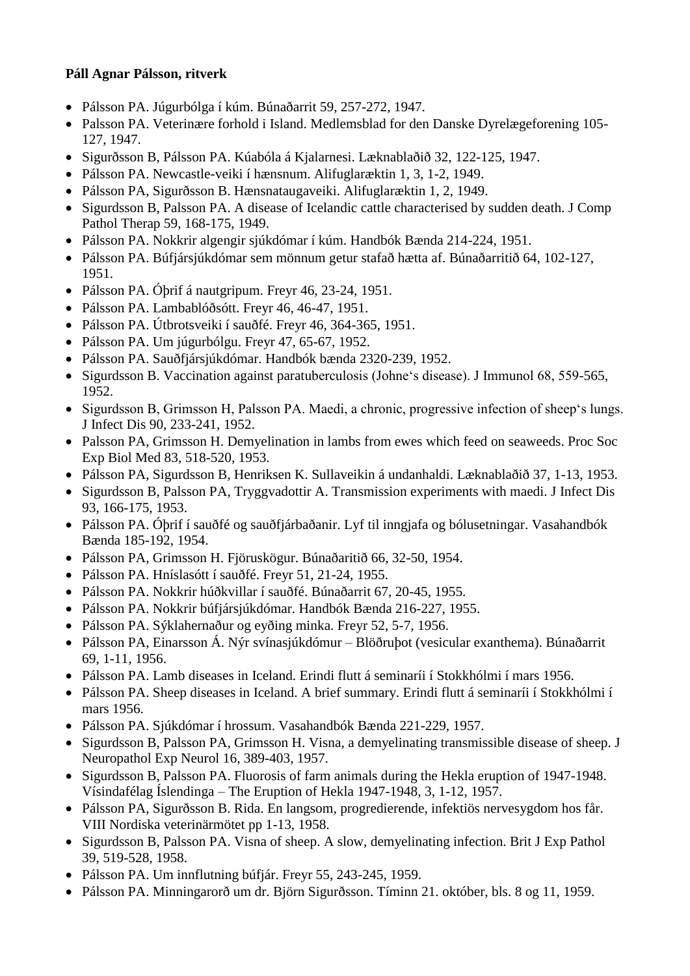## **Páll Agnar Pálsson, ritverk**

- Pálsson PA. Júgurbólga í kúm. Búnaðarrit 59, 257-272, 1947.
- Palsson PA. Veterinære forhold i Island. Medlemsblad for den Danske Dyrelægeforening 105- 127, 1947.
- Sigurðsson B, Pálsson PA. Kúabóla á Kjalarnesi. Læknablaðið 32, 122-125, 1947.
- Pálsson PA. Newcastle-veiki í hænsnum. Alifuglaræktin 1, 3, 1-2, 1949.
- Pálsson PA, Sigurðsson B. Hænsnataugaveiki. Alifuglaræktin 1, 2, 1949.
- Sigurdsson B, Palsson PA. A disease of Icelandic cattle characterised by sudden death. J Comp Pathol Therap 59, 168-175, 1949.
- Pálsson PA. Nokkrir algengir sjúkdómar í kúm. Handbók Bænda 214-224, 1951.
- Pálsson PA. Búfjársjúkdómar sem mönnum getur stafað hætta af. Búnaðarritið 64, 102-127, 1951.
- Pálsson PA. Óþrif á nautgripum. Freyr 46, 23-24, 1951.
- Pálsson PA. Lambablóðsótt. Freyr 46, 46-47, 1951.
- Pálsson PA. Útbrotsveiki í sauðfé. Freyr 46, 364-365, 1951.
- Pálsson PA. Um júgurbólgu. Freyr 47, 65-67, 1952.
- Pálsson PA. Sauðfjársjúkdómar. Handbók bænda 2320-239, 1952.
- Sigurdsson B. Vaccination against paratuberculosis (Johne's disease). J Immunol 68, 559-565, 1952.
- Sigurdsson B, Grimsson H, Palsson PA. Maedi, a chronic, progressive infection of sheep's lungs. J Infect Dis 90, 233-241, 1952.
- Palsson PA, Grimsson H. Demyelination in lambs from ewes which feed on seaweeds. Proc Soc Exp Biol Med 83, 518-520, 1953.
- Pálsson PA, Sigurdsson B, Henriksen K. Sullaveikin á undanhaldi. Læknablaðið 37, 1-13, 1953.
- Sigurdsson B, Palsson PA, Tryggvadottir A. Transmission experiments with maedi. J Infect Dis 93, 166-175, 1953.
- Pálsson PA. Óþrif í sauðfé og sauðfjárbaðanir. Lyf til inngjafa og bólusetningar. Vasahandbók Bænda 185-192, 1954.
- Pálsson PA, Grimsson H. Fjöruskögur. Búnaðaritið 66, 32-50, 1954.
- Pálsson PA. Hníslasótt í sauðfé. Freyr 51, 21-24, 1955.
- Pálsson PA. Nokkrir húðkvillar í sauðfé. Búnaðarrit 67, 20-45, 1955.
- Pálsson PA. Nokkrir búfjársjúkdómar. Handbók Bænda 216-227, 1955.
- Pálsson PA. Sýklahernaður og eyðing minka. Freyr 52, 5-7, 1956.
- Pálsson PA, Einarsson Á. Nýr svínasjúkdómur Blöðruþot (vesicular exanthema). Búnaðarrit 69, 1-11, 1956.
- Pálsson PA. Lamb diseases in Iceland. Erindi flutt á seminaríi í Stokkhólmi í mars 1956.
- Pálsson PA. Sheep diseases in Iceland. A brief summary. Erindi flutt á seminaríi í Stokkhólmi í mars 1956.
- Pálsson PA. Sjúkdómar í hrossum. Vasahandbók Bænda 221-229, 1957.
- Sigurdsson B, Palsson PA, Grimsson H. Visna, a demyelinating transmissible disease of sheep. J Neuropathol Exp Neurol 16, 389-403, 1957.
- Sigurdsson B, Palsson PA. Fluorosis of farm animals during the Hekla eruption of 1947-1948. Vísindafélag Íslendinga – The Eruption of Hekla 1947-1948, 3, 1-12, 1957.
- Pálsson PA, Sigurðsson B. Rida. En langsom, progredierende, infektiös nervesygdom hos får. VIII Nordiska veterinärmötet pp 1-13, 1958.
- Sigurdsson B, Palsson PA. Visna of sheep. A slow, demyelinating infection. Brit J Exp Pathol 39, 519-528, 1958.
- Pálsson PA. Um innflutning búfjár. Freyr 55, 243-245, 1959.
- Pálsson PA. Minningarorð um dr. Björn Sigurðsson. Tíminn 21. október, bls. 8 og 11, 1959.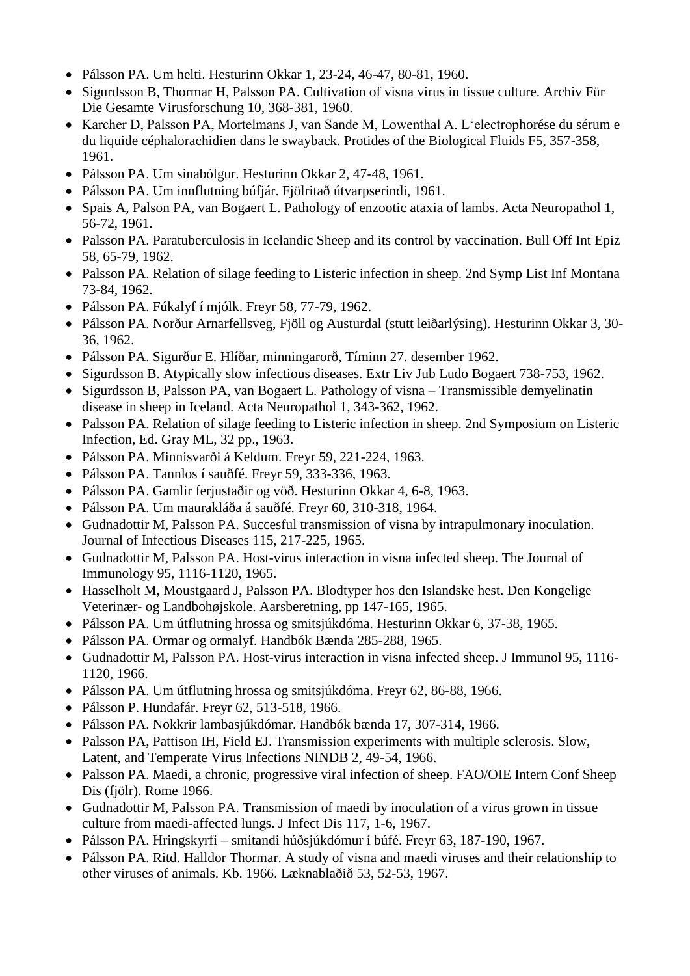- Pálsson PA. Um helti. Hesturinn Okkar 1, 23-24, 46-47, 80-81, 1960.
- Sigurdsson B, Thormar H, Palsson PA. Cultivation of visna virus in tissue culture. Archiv Für Die Gesamte Virusforschung 10, 368-381, 1960.
- Karcher D, Palsson PA, Mortelmans J, van Sande M, Lowenthal A. L'electrophorése du sérum e du liquide céphalorachidien dans le swayback. Protides of the Biological Fluids F5, 357-358, 1961.
- Pálsson PA. Um sinabólgur. Hesturinn Okkar 2, 47-48, 1961.
- Pálsson PA. Um innflutning búfjár. Fjölritað útvarpserindi, 1961.
- Spais A, Palson PA, van Bogaert L. Pathology of enzootic ataxia of lambs. Acta Neuropathol 1, 56-72, 1961.
- Palsson PA. Paratuberculosis in Icelandic Sheep and its control by vaccination. Bull Off Int Epiz 58, 65-79, 1962.
- Palsson PA. Relation of silage feeding to Listeric infection in sheep. 2nd Symp List Inf Montana 73-84, 1962.
- Pálsson PA. Fúkalyf í mjólk. Freyr 58, 77-79, 1962.
- Pálsson PA. Norður Arnarfellsveg, Fjöll og Austurdal (stutt leiðarlýsing). Hesturinn Okkar 3, 30- 36, 1962.
- Pálsson PA. Sigurður E. Hlíðar, minningarorð, Tíminn 27. desember 1962.
- Sigurdsson B. Atypically slow infectious diseases. Extr Liv Jub Ludo Bogaert 738-753, 1962.
- Sigurdsson B, Palsson PA, van Bogaert L. Pathology of visna Transmissible demyelinatin disease in sheep in Iceland. Acta Neuropathol 1, 343-362, 1962.
- Palsson PA. Relation of silage feeding to Listeric infection in sheep. 2nd Symposium on Listeric Infection, Ed. Gray ML, 32 pp., 1963.
- Pálsson PA. Minnisvarði á Keldum. Freyr 59, 221-224, 1963.
- Pálsson PA. Tannlos í sauðfé. Freyr 59, 333-336, 1963.
- Pálsson PA. Gamlir ferjustaðir og vöð. Hesturinn Okkar 4, 6-8, 1963.
- Pálsson PA. Um maurakláða á sauðfé. Freyr 60, 310-318, 1964.
- Gudnadottir M, Palsson PA. Succesful transmission of visna by intrapulmonary inoculation. Journal of Infectious Diseases 115, 217-225, 1965.
- Gudnadottir M, Palsson PA. Host-virus interaction in visna infected sheep. The Journal of Immunology 95, 1116-1120, 1965.
- Hasselholt M, Moustgaard J, Palsson PA. Blodtyper hos den Islandske hest. Den Kongelige Veterinær- og Landbohøjskole. Aarsberetning, pp 147-165, 1965.
- Pálsson PA. Um útflutning hrossa og smitsjúkdóma. Hesturinn Okkar 6, 37-38, 1965.
- Pálsson PA. Ormar og ormalyf. Handbók Bænda 285-288, 1965.
- Gudnadottir M, Palsson PA. Host-virus interaction in visna infected sheep. J Immunol 95, 1116- 1120, 1966.
- Pálsson PA. Um útflutning hrossa og smitsjúkdóma. Freyr 62, 86-88, 1966.
- Pálsson P. Hundafár. Freyr 62, 513-518, 1966.
- Pálsson PA. Nokkrir lambasjúkdómar. Handbók bænda 17, 307-314, 1966.
- Palsson PA, Pattison IH, Field EJ. Transmission experiments with multiple sclerosis. Slow, Latent, and Temperate Virus Infections NINDB 2, 49-54, 1966.
- Palsson PA. Maedi, a chronic, progressive viral infection of sheep. FAO/OIE Intern Conf Sheep Dis (fjölr). Rome 1966.
- Gudnadottir M, Palsson PA. Transmission of maedi by inoculation of a virus grown in tissue culture from maedi-affected lungs. J Infect Dis 117, 1-6, 1967.
- Pálsson PA. Hringskyrfi smitandi húðsjúkdómur í búfé. Freyr 63, 187-190, 1967.
- Pálsson PA. Ritd. Halldor Thormar. A study of visna and maedi viruses and their relationship to other viruses of animals. Kb. 1966. Læknablaðið 53, 52-53, 1967.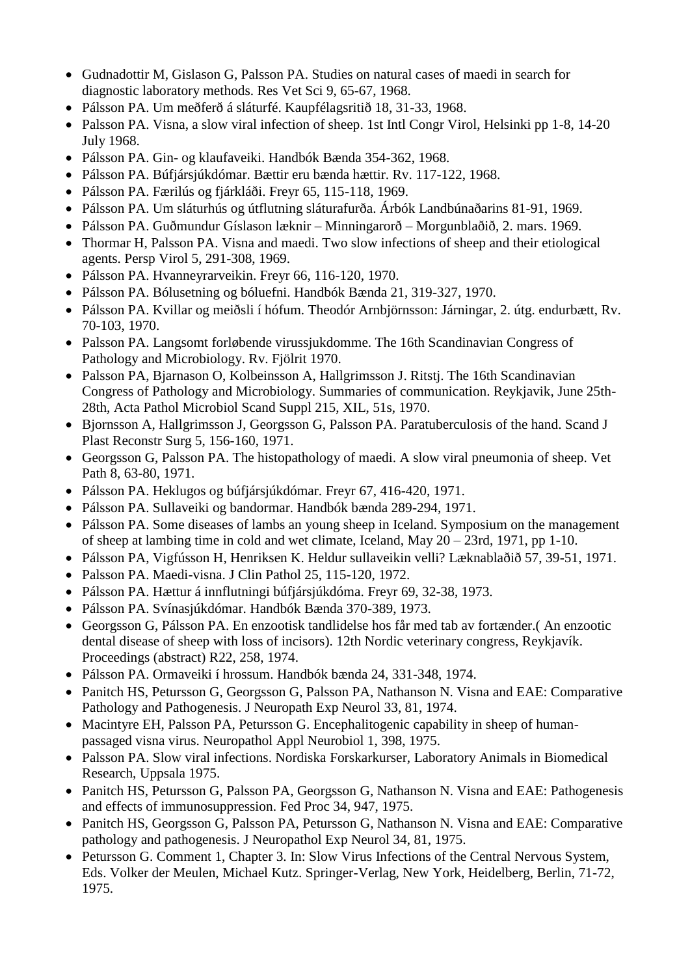- Gudnadottir M, Gislason G, Palsson PA. Studies on natural cases of maedi in search for diagnostic laboratory methods. Res Vet Sci 9, 65-67, 1968.
- Pálsson PA. Um meðferð á sláturfé. Kaupfélagsritið 18, 31-33, 1968.
- Palsson PA. Visna, a slow viral infection of sheep. 1st Intl Congr Virol, Helsinki pp 1-8, 14-20 July 1968.
- Pálsson PA. Gin- og klaufaveiki. Handbók Bænda 354-362, 1968.
- Pálsson PA. Búfjársjúkdómar. Bættir eru bænda hættir. Rv. 117-122, 1968.
- Pálsson PA. Færilús og fjárkláði. Freyr 65, 115-118, 1969.
- Pálsson PA. Um sláturhús og útflutning sláturafurða. Árbók Landbúnaðarins 81-91, 1969.
- Pálsson PA. Guðmundur Gíslason læknir Minningarorð Morgunblaðið, 2. mars. 1969.
- Thormar H, Palsson PA. Visna and maedi. Two slow infections of sheep and their etiological agents. Persp Virol 5, 291-308, 1969.
- Pálsson PA. Hvanneyrarveikin. Freyr 66, 116-120, 1970.
- Pálsson PA. Bólusetning og bóluefni. Handbók Bænda 21, 319-327, 1970.
- Pálsson PA. Kvillar og meiðsli í hófum. Theodór Arnbjörnsson: Járningar, 2. útg. endurbætt, Rv. 70-103, 1970.
- Palsson PA. Langsomt forløbende virussjukdomme. The 16th Scandinavian Congress of Pathology and Microbiology. Rv. Fjölrit 1970.
- Palsson PA, Bjarnason O, Kolbeinsson A, Hallgrimsson J. Ritstj. The 16th Scandinavian Congress of Pathology and Microbiology. Summaries of communication. Reykjavik, June 25th-28th, Acta Pathol Microbiol Scand Suppl 215, XIL, 51s, 1970.
- Bjornsson A, Hallgrimsson J, Georgsson G, Palsson PA. Paratuberculosis of the hand. Scand J Plast Reconstr Surg 5, 156-160, 1971.
- Georgsson G, Palsson PA. The histopathology of maedi. A slow viral pneumonia of sheep. Vet Path 8, 63-80, 1971.
- Pálsson PA. Heklugos og búfjársjúkdómar. Freyr 67, 416-420, 1971.
- Pálsson PA. Sullaveiki og bandormar. Handbók bænda 289-294, 1971.
- Pálsson PA. Some diseases of lambs an young sheep in Iceland. Symposium on the management of sheep at lambing time in cold and wet climate, Iceland, May 20 – 23rd, 1971, pp 1-10.
- Pálsson PA, Vigfússon H, Henriksen K. Heldur sullaveikin velli? Læknablaðið 57, 39-51, 1971.
- Palsson PA. Maedi-visna. J Clin Pathol 25, 115-120, 1972.
- Pálsson PA. Hættur á innflutningi búfjársjúkdóma. Freyr 69, 32-38, 1973.
- Pálsson PA. Svínasjúkdómar. Handbók Bænda 370-389, 1973.
- Georgsson G, Pálsson PA. En enzootisk tandlidelse hos får med tab av fortænder.( An enzootic dental disease of sheep with loss of incisors). 12th Nordic veterinary congress, Reykjavík. Proceedings (abstract) R22, 258, 1974.
- Pálsson PA. Ormaveiki í hrossum. Handbók bænda 24, 331-348, 1974.
- Panitch HS, Petursson G, Georgsson G, Palsson PA, Nathanson N. Visna and EAE: Comparative Pathology and Pathogenesis. J Neuropath Exp Neurol 33, 81, 1974.
- Macintyre EH, Palsson PA, Petursson G. Encephalitogenic capability in sheep of humanpassaged visna virus. Neuropathol Appl Neurobiol 1, 398, 1975.
- Palsson PA. Slow viral infections. Nordiska Forskarkurser, Laboratory Animals in Biomedical Research, Uppsala 1975.
- Panitch HS, Petursson G, Palsson PA, Georgsson G, Nathanson N. Visna and EAE: Pathogenesis and effects of immunosuppression. Fed Proc 34, 947, 1975.
- Panitch HS, Georgsson G, Palsson PA, Petursson G, Nathanson N. Visna and EAE: Comparative pathology and pathogenesis. J Neuropathol Exp Neurol 34, 81, 1975.
- Petursson G. Comment 1, Chapter 3. In: Slow Virus Infections of the Central Nervous System, Eds. Volker der Meulen, Michael Kutz. Springer-Verlag, New York, Heidelberg, Berlin, 71-72, 1975.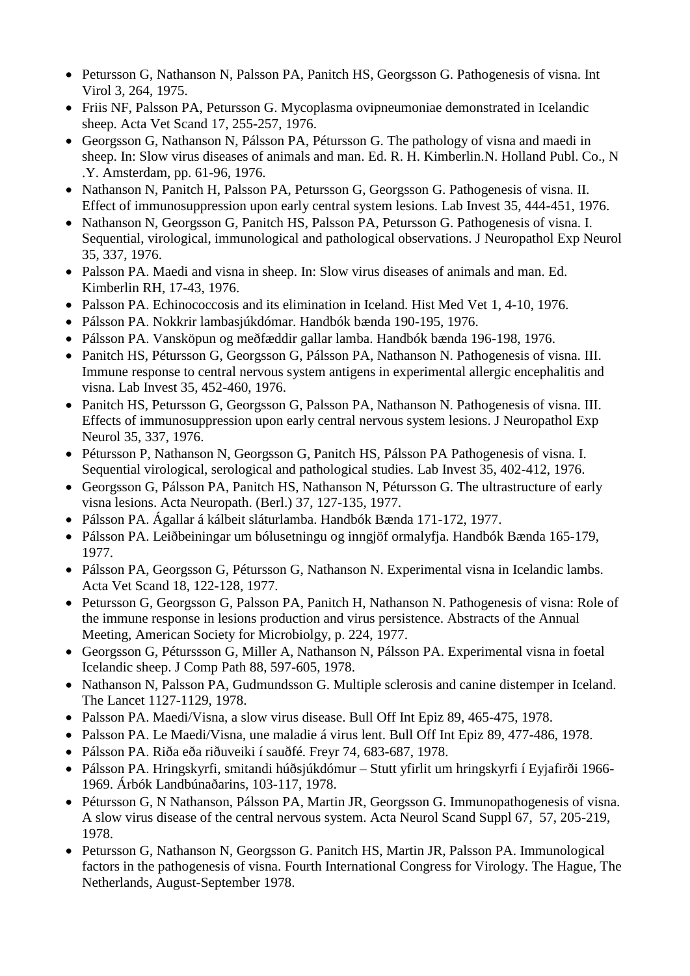- Petursson G, Nathanson N, Palsson PA, Panitch HS, Georgsson G. Pathogenesis of visna. Int Virol 3, 264, 1975.
- Friis NF, Palsson PA, Petursson G. Mycoplasma ovipneumoniae demonstrated in Icelandic sheep. Acta Vet Scand 17, 255-257, 1976.
- Georgsson G, Nathanson N, Pálsson PA, Pétursson G. The pathology of visna and maedi in sheep. In: Slow virus diseases of animals and man. Ed. R. H. Kimberlin.N. Holland Publ. Co., N .Y. Amsterdam, pp. 61-96, 1976.
- Nathanson N, Panitch H, Palsson PA, Petursson G, Georgsson G. Pathogenesis of visna. II. Effect of immunosuppression upon early central system lesions. Lab Invest 35, 444-451, 1976.
- Nathanson N, Georgsson G, Panitch HS, Palsson PA, Petursson G. Pathogenesis of visna. I. Sequential, virological, immunological and pathological observations. J Neuropathol Exp Neurol 35, 337, 1976.
- Palsson PA. Maedi and visna in sheep. In: Slow virus diseases of animals and man. Ed. Kimberlin RH, 17-43, 1976.
- Palsson PA. Echinococcosis and its elimination in Iceland. Hist Med Vet 1, 4-10, 1976.
- Pálsson PA. Nokkrir lambasjúkdómar. Handbók bænda 190-195, 1976.
- Pálsson PA. Vansköpun og meðfæddir gallar lamba. Handbók bænda 196-198, 1976.
- Panitch HS, Pétursson G, Georgsson G, Pálsson PA, Nathanson N. Pathogenesis of visna. III. Immune response to central nervous system antigens in experimental allergic encephalitis and visna. Lab Invest 35, 452-460, 1976.
- Panitch HS, Petursson G, Georgsson G, Palsson PA, Nathanson N. Pathogenesis of visna. III. Effects of immunosuppression upon early central nervous system lesions. J Neuropathol Exp Neurol 35, 337, 1976.
- Pétursson P, Nathanson N, Georgsson G, Panitch HS, Pálsson PA Pathogenesis of visna. I. Sequential virological, serological and pathological studies. Lab Invest 35, 402-412, 1976.
- Georgsson G, Pálsson PA, Panitch HS, Nathanson N, Pétursson G. The ultrastructure of early visna lesions. Acta Neuropath. (Berl.) 37, 127-135, 1977.
- Pálsson PA. Ágallar á kálbeit sláturlamba. Handbók Bænda 171-172, 1977.
- Pálsson PA. Leiðbeiningar um bólusetningu og inngjöf ormalyfja. Handbók Bænda 165-179, 1977.
- Pálsson PA, Georgsson G, Pétursson G, Nathanson N. Experimental visna in Icelandic lambs. Acta Vet Scand 18, 122-128, 1977.
- Petursson G, Georgsson G, Palsson PA, Panitch H, Nathanson N. Pathogenesis of visna: Role of the immune response in lesions production and virus persistence. Abstracts of the Annual Meeting, American Society for Microbiolgy, p. 224, 1977.
- Georgsson G, Péturssson G, Miller A, Nathanson N, Pálsson PA. Experimental visna in foetal Icelandic sheep. J Comp Path 88, 597-605, 1978.
- Nathanson N, Palsson PA, Gudmundsson G. Multiple sclerosis and canine distemper in Iceland. The Lancet 1127-1129, 1978.
- Palsson PA. Maedi/Visna, a slow virus disease. Bull Off Int Epiz 89, 465-475, 1978.
- Palsson PA. Le Maedi/Visna, une maladie á virus lent. Bull Off Int Epiz 89, 477-486, 1978.
- Pálsson PA. Riða eða riðuveiki í sauðfé. Freyr 74, 683-687, 1978.
- Pálsson PA. Hringskyrfi, smitandi húðsjúkdómur Stutt yfirlit um hringskyrfi í Eyjafirði 1966- 1969. Árbók Landbúnaðarins, 103-117, 1978.
- Pétursson G, N Nathanson, Pálsson PA, Martin JR, Georgsson G. Immunopathogenesis of visna. A slow virus disease of the central nervous system. Acta Neurol Scand Suppl 67, 57, 205-219, 1978.
- Petursson G, Nathanson N, Georgsson G. Panitch HS, Martin JR, Palsson PA. Immunological factors in the pathogenesis of visna. Fourth International Congress for Virology. The Hague, The Netherlands, August-September 1978.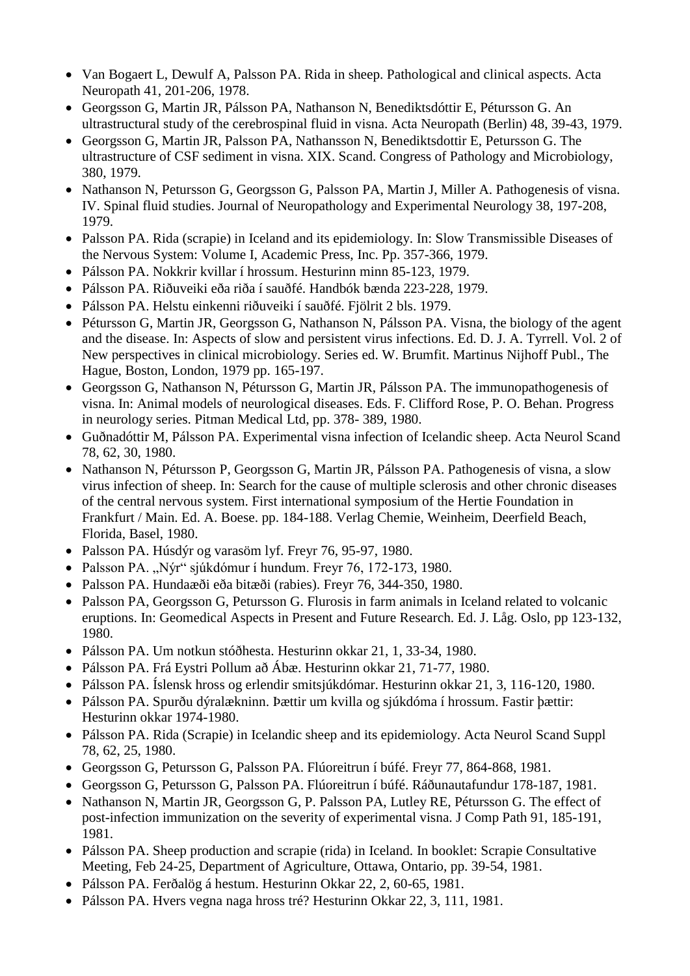- Van Bogaert L, Dewulf A, Palsson PA. Rida in sheep. Pathological and clinical aspects. Acta Neuropath 41, 201-206, 1978.
- Georgsson G, Martin JR, Pálsson PA, Nathanson N, Benediktsdóttir E, Pétursson G. An ultrastructural study of the cerebrospinal fluid in visna. Acta Neuropath (Berlin) 48, 39-43, 1979.
- Georgsson G, Martin JR, Palsson PA, Nathansson N, Benediktsdottir E, Petursson G. The ultrastructure of CSF sediment in visna. XIX. Scand. Congress of Pathology and Microbiology, 380, 1979.
- Nathanson N, Petursson G, Georgsson G, Palsson PA, Martin J, Miller A. Pathogenesis of visna. IV. Spinal fluid studies. Journal of Neuropathology and Experimental Neurology 38, 197-208, 1979.
- Palsson PA. Rida (scrapie) in Iceland and its epidemiology. In: Slow Transmissible Diseases of the Nervous System: Volume I, Academic Press, Inc. Pp. 357-366, 1979.
- Pálsson PA. Nokkrir kvillar í hrossum. Hesturinn minn 85-123, 1979.
- Pálsson PA. Riðuveiki eða riða í sauðfé. Handbók bænda 223-228, 1979.
- Pálsson PA. Helstu einkenni riðuveiki í sauðfé. Fjölrit 2 bls. 1979.
- Pétursson G, Martin JR, Georgsson G, Nathanson N, Pálsson PA. Visna, the biology of the agent and the disease. In: Aspects of slow and persistent virus infections. Ed. D. J. A. Tyrrell. Vol. 2 of New perspectives in clinical microbiology. Series ed. W. Brumfit. Martinus Nijhoff Publ., The Hague, Boston, London, 1979 pp. 165-197.
- Georgsson G, Nathanson N, Pétursson G, Martin JR, Pálsson PA. The immunopathogenesis of visna. In: Animal models of neurological diseases. Eds. F. Clifford Rose, P. O. Behan. Progress in neurology series. Pitman Medical Ltd, pp. 378- 389, 1980.
- Guðnadóttir M, Pálsson PA. Experimental visna infection of Icelandic sheep. Acta Neurol Scand 78, 62, 30, 1980.
- Nathanson N, Pétursson P, Georgsson G, Martin JR, Pálsson PA. Pathogenesis of visna, a slow virus infection of sheep. In: Search for the cause of multiple sclerosis and other chronic diseases of the central nervous system. First international symposium of the Hertie Foundation in Frankfurt / Main. Ed. A. Boese. pp. 184-188. Verlag Chemie, Weinheim, Deerfield Beach, Florida, Basel, 1980.
- Palsson PA. Húsdýr og varasöm lyf. Freyr 76, 95-97, 1980.
- $\bullet$  Palsson PA. "Nýr" sjúkdómur í hundum. Freyr 76, 172-173, 1980.
- Palsson PA. Hundaæði eða bitæði (rabies). Freyr 76, 344-350, 1980.
- Palsson PA, Georgsson G, Petursson G. Flurosis in farm animals in Iceland related to volcanic eruptions. In: Geomedical Aspects in Present and Future Research. Ed. J. Låg. Oslo, pp 123-132, 1980.
- Pálsson PA. Um notkun stóðhesta. Hesturinn okkar 21, 1, 33-34, 1980.
- Pálsson PA. Frá Eystri Pollum að Ábæ. Hesturinn okkar 21, 71-77, 1980.
- Pálsson PA. Íslensk hross og erlendir smitsjúkdómar. Hesturinn okkar 21, 3, 116-120, 1980.
- Pálsson PA. Spurðu dýralækninn. Þættir um kvilla og sjúkdóma í hrossum. Fastir þættir: Hesturinn okkar 1974-1980.
- Pálsson PA. Rida (Scrapie) in Icelandic sheep and its epidemiology. Acta Neurol Scand Suppl 78, 62, 25, 1980.
- Georgsson G, Petursson G, Palsson PA. Flúoreitrun í búfé. Freyr 77, 864-868, 1981.
- Georgsson G, Petursson G, Palsson PA. Flúoreitrun í búfé. Ráðunautafundur 178-187, 1981.
- Nathanson N, Martin JR, Georgsson G, P. Palsson PA, Lutley RE, Pétursson G. The effect of post-infection immunization on the severity of experimental visna. J Comp Path 91, 185-191, 1981.
- Pálsson PA. Sheep production and scrapie (rida) in Iceland. In booklet: Scrapie Consultative Meeting, Feb 24-25, Department of Agriculture, Ottawa, Ontario, pp. 39-54, 1981.
- Pálsson PA. Ferðalög á hestum. Hesturinn Okkar 22, 2, 60-65, 1981.
- Pálsson PA. Hvers vegna naga hross tré? Hesturinn Okkar 22, 3, 111, 1981.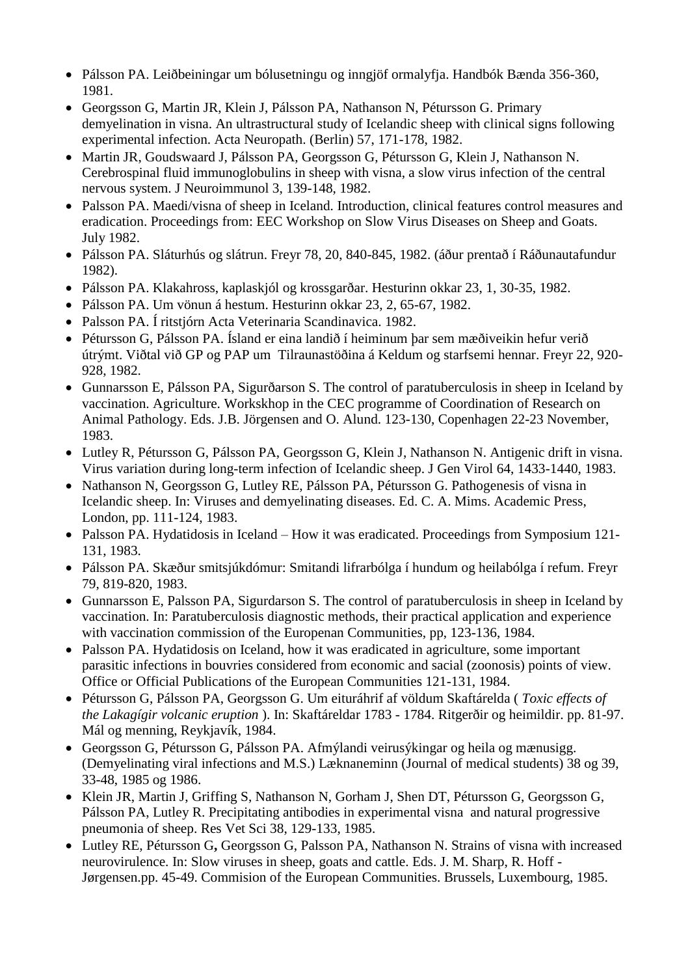- Pálsson PA. Leiðbeiningar um bólusetningu og inngjöf ormalyfja. Handbók Bænda 356-360, 1981.
- Georgsson G, Martin JR, Klein J, Pálsson PA, Nathanson N, Pétursson G. Primary demyelination in visna. An ultrastructural study of Icelandic sheep with clinical signs following experimental infection. Acta Neuropath. (Berlin) 57, 171-178, 1982.
- Martin JR, Goudswaard J, Pálsson PA, Georgsson G, Pétursson G, Klein J, Nathanson N. Cerebrospinal fluid immunoglobulins in sheep with visna, a slow virus infection of the central nervous system. J Neuroimmunol 3, 139-148, 1982.
- Palsson PA. Maedi/visna of sheep in Iceland. Introduction, clinical features control measures and eradication. Proceedings from: EEC Workshop on Slow Virus Diseases on Sheep and Goats. July 1982.
- Pálsson PA. Sláturhús og slátrun. Freyr 78, 20, 840-845, 1982. (áður prentað í Ráðunautafundur 1982).
- Pálsson PA. Klakahross, kaplaskjól og krossgarðar. Hesturinn okkar 23, 1, 30-35, 1982.
- Pálsson PA. Um vönun á hestum. Hesturinn okkar 23, 2, 65-67, 1982.
- Palsson PA. Í ritstjórn Acta Veterinaria Scandinavica. 1982.
- Pétursson G, Pálsson PA. Ísland er eina landið í heiminum þar sem mæðiveikin hefur verið útrýmt. Viðtal við GP og PAP um Tilraunastöðina á Keldum og starfsemi hennar. Freyr 22, 920- 928, 1982.
- Gunnarsson E, Pálsson PA, Sigurðarson S. The control of paratuberculosis in sheep in Iceland by vaccination. Agriculture. Workskhop in the CEC programme of Coordination of Research on Animal Pathology. Eds. J.B. Jörgensen and O. Alund. 123-130, Copenhagen 22-23 November, 1983.
- Lutley R, Pétursson G, Pálsson PA, Georgsson G, Klein J, Nathanson N. Antigenic drift in visna. Virus variation during long-term infection of Icelandic sheep. J Gen Virol 64, 1433-1440, 1983.
- Nathanson N, Georgsson G, Lutley RE, Pálsson PA, Pétursson G. Pathogenesis of visna in Icelandic sheep. In: Viruses and demyelinating diseases. Ed. C. A. Mims. Academic Press, London, pp. 111-124, 1983.
- Palsson PA. Hydatidosis in Iceland How it was eradicated. Proceedings from Symposium 121-131, 1983.
- Pálsson PA. Skæður smitsjúkdómur: Smitandi lifrarbólga í hundum og heilabólga í refum. Freyr 79, 819-820, 1983.
- Gunnarsson E, Palsson PA, Sigurdarson S. The control of paratuberculosis in sheep in Iceland by vaccination. In: Paratuberculosis diagnostic methods, their practical application and experience with vaccination commission of the Europenan Communities, pp, 123-136, 1984.
- Palsson PA. Hydatidosis on Iceland, how it was eradicated in agriculture, some important parasitic infections in bouvries considered from economic and sacial (zoonosis) points of view. Office or Official Publications of the European Communities 121-131, 1984.
- Pétursson G, Pálsson PA, Georgsson G. Um eituráhrif af völdum Skaftárelda ( *Toxic effects of the Lakagígir volcanic eruption* ). In: Skaftáreldar 1783 - 1784. Ritgerðir og heimildir. pp. 81-97. Mál og menning, Reykjavík, 1984.
- Georgsson G, Pétursson G, Pálsson PA. Afmýlandi veirusýkingar og heila og mænusigg. (Demyelinating viral infections and M.S.) Læknaneminn (Journal of medical students) 38 og 39, 33-48, 1985 og 1986.
- Klein JR, Martin J, Griffing S, Nathanson N, Gorham J, Shen DT, Pétursson G, Georgsson G, Pálsson PA, Lutley R. Precipitating antibodies in experimental visna and natural progressive pneumonia of sheep. Res Vet Sci 38, 129-133, 1985.
- Lutley RE, Pétursson G**,** Georgsson G, Palsson PA, Nathanson N. Strains of visna with increased neurovirulence. In: Slow viruses in sheep, goats and cattle. Eds. J. M. Sharp, R. Hoff - Jørgensen.pp. 45-49. Commision of the European Communities. Brussels, Luxembourg, 1985.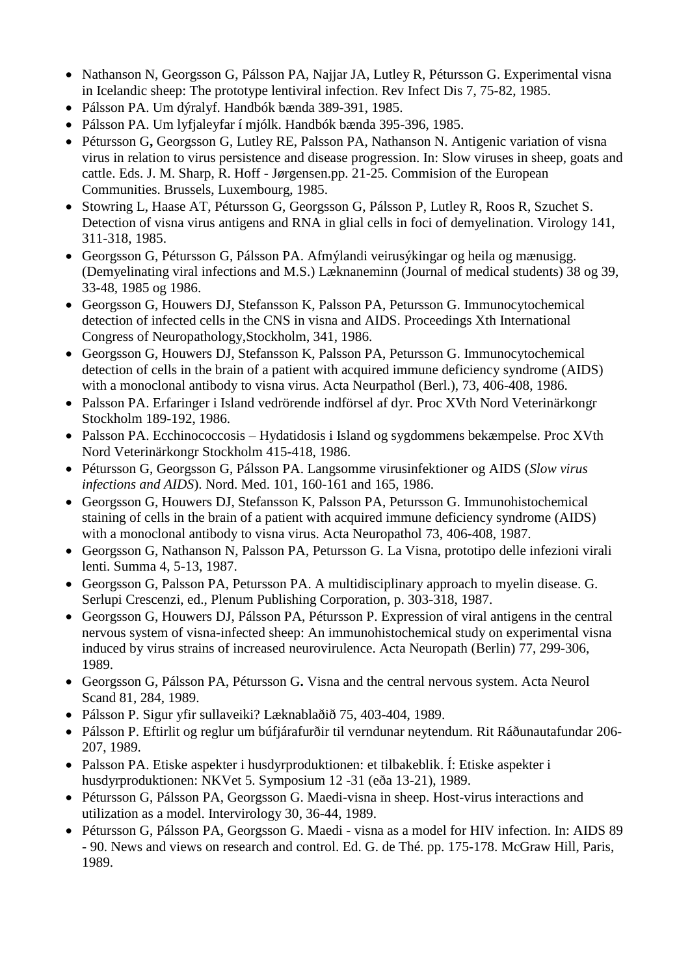- Nathanson N, Georgsson G, Pálsson PA, Najjar JA, Lutley R, Pétursson G. Experimental visna in Icelandic sheep: The prototype lentiviral infection. Rev Infect Dis 7, 75-82, 1985.
- Pálsson PA. Um dýralyf. Handbók bænda 389-391, 1985.
- Pálsson PA. Um lyfjaleyfar í mjólk. Handbók bænda 395-396, 1985.
- Pétursson G**,** Georgsson G, Lutley RE, Palsson PA, Nathanson N. Antigenic variation of visna virus in relation to virus persistence and disease progression. In: Slow viruses in sheep, goats and cattle. Eds. J. M. Sharp, R. Hoff - Jørgensen.pp. 21-25. Commision of the European Communities. Brussels, Luxembourg, 1985.
- Stowring L, Haase AT, Pétursson G, Georgsson G, Pálsson P, Lutley R, Roos R, Szuchet S. Detection of visna virus antigens and RNA in glial cells in foci of demyelination. Virology 141, 311-318, 1985.
- Georgsson G, Pétursson G, Pálsson PA. Afmýlandi veirusýkingar og heila og mænusigg. (Demyelinating viral infections and M.S.) Læknaneminn (Journal of medical students) 38 og 39, 33-48, 1985 og 1986.
- Georgsson G, Houwers DJ, Stefansson K, Palsson PA, Petursson G. Immunocytochemical detection of infected cells in the CNS in visna and AIDS. Proceedings Xth International Congress of Neuropathology,Stockholm, 341, 1986.
- Georgsson G, Houwers DJ, Stefansson K, Palsson PA, Petursson G. Immunocytochemical detection of cells in the brain of a patient with acquired immune deficiency syndrome (AIDS) with a monoclonal antibody to visna virus. Acta Neurpathol (Berl.), 73, 406-408, 1986.
- Palsson PA. Erfaringer i Island vedrörende indförsel af dyr. Proc XVth Nord Veterinärkongr Stockholm 189-192, 1986.
- Palsson PA. Ecchinococcosis Hydatidosis i Island og sygdommens bekæmpelse. Proc XVth Nord Veterinärkongr Stockholm 415-418, 1986.
- Pétursson G, Georgsson G, Pálsson PA. Langsomme virusinfektioner og AIDS (*Slow virus infections and AIDS*). Nord. Med. 101, 160-161 and 165, 1986.
- Georgsson G, Houwers DJ, Stefansson K, Palsson PA, Petursson G. Immunohistochemical staining of cells in the brain of a patient with acquired immune deficiency syndrome (AIDS) with a monoclonal antibody to visna virus. Acta Neuropathol 73, 406-408, 1987.
- Georgsson G, Nathanson N, Palsson PA, Petursson G. La Visna, prototipo delle infezioni virali lenti. Summa 4, 5-13, 1987.
- Georgsson G, Palsson PA, Petursson PA. A multidisciplinary approach to myelin disease. G. Serlupi Crescenzi, ed., Plenum Publishing Corporation, p. 303-318, 1987.
- Georgsson G, Houwers DJ, Pálsson PA, Pétursson P. Expression of viral antigens in the central nervous system of visna-infected sheep: An immunohistochemical study on experimental visna induced by virus strains of increased neurovirulence. Acta Neuropath (Berlin) 77, 299-306, 1989.
- Georgsson G, Pálsson PA, Pétursson G**.** Visna and the central nervous system. Acta Neurol Scand 81, 284, 1989.
- Pálsson P. Sigur yfir sullaveiki? Læknablaðið 75, 403-404, 1989.
- Pálsson P. Eftirlit og reglur um búfjárafurðir til verndunar neytendum. Rit Ráðunautafundar 206- 207, 1989.
- Palsson PA. Etiske aspekter i husdyrproduktionen: et tilbakeblik. Í: Etiske aspekter i husdyrproduktionen: NKVet 5. Symposium 12 -31 (eða 13-21), 1989.
- Pétursson G, Pálsson PA, Georgsson G. Maedi-visna in sheep. Host-virus interactions and utilization as a model. Intervirology 30, 36-44, 1989.
- Pétursson G, Pálsson PA, Georgsson G. Maedi visna as a model for HIV infection. In: AIDS 89 - 90. News and views on research and control. Ed. G. de Thé. pp. 175-178. McGraw Hill, Paris, 1989.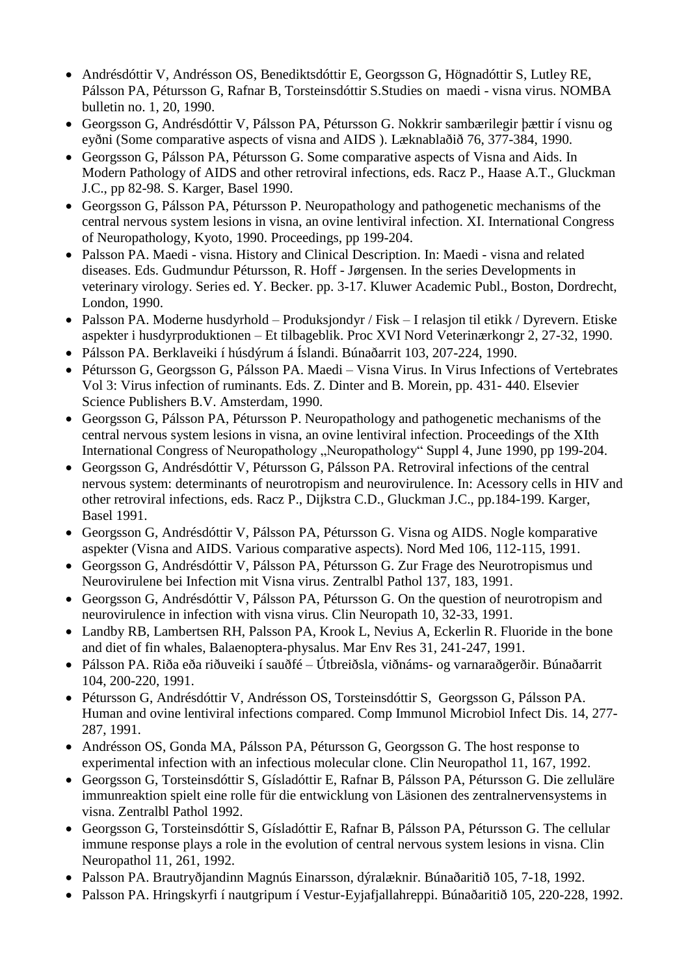- Andrésdóttir V, Andrésson OS, Benediktsdóttir E, Georgsson G, Högnadóttir S, Lutley RE, Pálsson PA, Pétursson G, Rafnar B, Torsteinsdóttir S.Studies on maedi - visna virus. NOMBA bulletin no. 1, 20, 1990.
- Georgsson G, Andrésdóttir V, Pálsson PA, Pétursson G. Nokkrir sambærilegir þættir í visnu og eyðni (Some comparative aspects of visna and AIDS ). Læknablaðið 76, 377-384, 1990.
- Georgsson G, Pálsson PA, Pétursson G. Some comparative aspects of Visna and Aids. In Modern Pathology of AIDS and other retroviral infections, eds. Racz P., Haase A.T., Gluckman J.C., pp 82-98. S. Karger, Basel 1990.
- Georgsson G, Pálsson PA, Pétursson P. Neuropathology and pathogenetic mechanisms of the central nervous system lesions in visna, an ovine lentiviral infection. XI. International Congress of Neuropathology, Kyoto, 1990. Proceedings, pp 199-204.
- Palsson PA. Maedi visna. History and Clinical Description. In: Maedi visna and related diseases. Eds. Gudmundur Pétursson, R. Hoff - Jørgensen. In the series Developments in veterinary virology. Series ed. Y. Becker. pp. 3-17. Kluwer Academic Publ., Boston, Dordrecht, London, 1990.
- Palsson PA. Moderne husdyrhold Produksjondyr / Fisk I relasjon til etikk / Dyrevern. Etiske aspekter i husdyrproduktionen – Et tilbageblik. Proc XVI Nord Veterinærkongr 2, 27-32, 1990.
- Pálsson PA. Berklaveiki í húsdýrum á Íslandi. Búnaðarrit 103, 207-224, 1990.
- Pétursson G, Georgsson G, Pálsson PA. Maedi Visna Virus. In Virus Infections of Vertebrates Vol 3: Virus infection of ruminants. Eds. Z. Dinter and B. Morein, pp. 431- 440. Elsevier Science Publishers B.V. Amsterdam, 1990.
- Georgsson G, Pálsson PA, Pétursson P. Neuropathology and pathogenetic mechanisms of the central nervous system lesions in visna, an ovine lentiviral infection. Proceedings of the XIth International Congress of Neuropathology "Neuropathology" Suppl 4, June 1990, pp 199-204.
- Georgsson G, Andrésdóttir V, Pétursson G, Pálsson PA. Retroviral infections of the central nervous system: determinants of neurotropism and neurovirulence. In: Acessory cells in HIV and other retroviral infections, eds. Racz P., Dijkstra C.D., Gluckman J.C., pp.184-199. Karger, Basel 1991.
- Georgsson G, Andrésdóttir V, Pálsson PA, Pétursson G. Visna og AIDS. Nogle komparative aspekter (Visna and AIDS. Various comparative aspects). Nord Med 106, 112-115, 1991.
- Georgsson G, Andrésdóttir V, Pálsson PA, Pétursson G. Zur Frage des Neurotropismus und Neurovirulene bei Infection mit Visna virus. Zentralbl Pathol 137, 183, 1991.
- Georgsson G, Andrésdóttir V, Pálsson PA, Pétursson G. On the question of neurotropism and neurovirulence in infection with visna virus. Clin Neuropath 10, 32-33, 1991.
- Landby RB, Lambertsen RH, Palsson PA, Krook L, Nevius A, Eckerlin R. Fluoride in the bone and diet of fin whales, Balaenoptera-physalus. Mar Env Res 31, 241-247, 1991.
- Pálsson PA. Riða eða riðuveiki í sauðfé Útbreiðsla, viðnáms- og varnaraðgerðir. Búnaðarrit 104, 200-220, 1991.
- Pétursson G, Andrésdóttir V, Andrésson OS, Torsteinsdóttir S, Georgsson G, Pálsson PA. Human and ovine lentiviral infections compared. Comp Immunol Microbiol Infect Dis. 14, 277- 287, 1991.
- Andrésson OS, Gonda MA, Pálsson PA, Pétursson G, Georgsson G. The host response to experimental infection with an infectious molecular clone. Clin Neuropathol 11, 167, 1992.
- Georgsson G, Torsteinsdóttir S, Gísladóttir E, Rafnar B, Pálsson PA, Pétursson G. Die zelluläre immunreaktion spielt eine rolle für die entwicklung von Läsionen des zentralnervensystems in visna. Zentralbl Pathol 1992.
- Georgsson G, Torsteinsdóttir S, Gísladóttir E, Rafnar B, Pálsson PA, Pétursson G. The cellular immune response plays a role in the evolution of central nervous system lesions in visna. Clin Neuropathol 11, 261, 1992.
- Palsson PA. Brautryðjandinn Magnús Einarsson, dýralæknir. Búnaðaritið 105, 7-18, 1992.
- Palsson PA. Hringskyrfi í nautgripum í Vestur-Eyjafjallahreppi. Búnaðaritið 105, 220-228, 1992.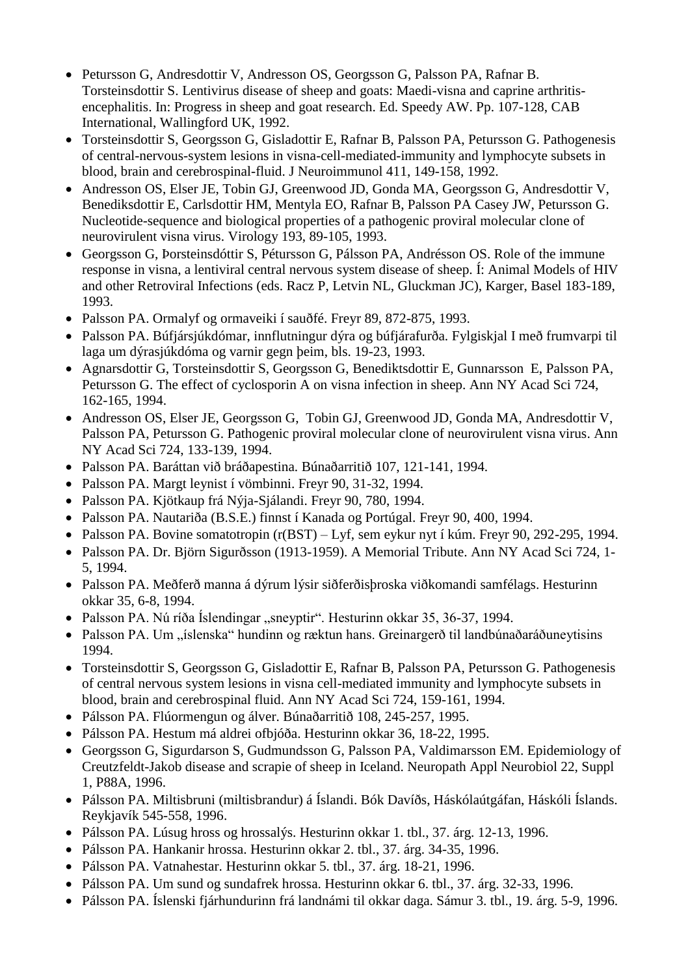- Petursson G, Andresdottir V, Andresson OS, Georgsson G, Palsson PA, Rafnar B. Torsteinsdottir S. Lentivirus disease of sheep and goats: Maedi-visna and caprine arthritisencephalitis. In: Progress in sheep and goat research. Ed. Speedy AW. Pp. 107-128, CAB International, Wallingford UK, 1992.
- Torsteinsdottir S, Georgsson G, Gisladottir E, Rafnar B, Palsson PA, Petursson G. Pathogenesis of central-nervous-system lesions in visna-cell-mediated-immunity and lymphocyte subsets in blood, brain and cerebrospinal-fluid. J Neuroimmunol 411, 149-158, 1992.
- Andresson OS, Elser JE, Tobin GJ, Greenwood JD, Gonda MA, Georgsson G, Andresdottir V, Benediksdottir E, Carlsdottir HM, Mentyla EO, Rafnar B, Palsson PA Casey JW, Petursson G. Nucleotide-sequence and biological properties of a pathogenic proviral molecular clone of neurovirulent visna virus. Virology 193, 89-105, 1993.
- Georgsson G, Þorsteinsdóttir S, Pétursson G, Pálsson PA, Andrésson OS. Role of the immune response in visna, a lentiviral central nervous system disease of sheep. Í: Animal Models of HIV and other Retroviral Infections (eds. Racz P, Letvin NL, Gluckman JC), Karger, Basel 183-189, 1993.
- Palsson PA. Ormalyf og ormaveiki í sauðfé. Freyr 89, 872-875, 1993.
- Palsson PA. Búfjársjúkdómar, innflutningur dýra og búfjárafurða. Fylgiskjal I með frumvarpi til laga um dýrasjúkdóma og varnir gegn þeim, bls. 19-23, 1993.
- Agnarsdottir G, Torsteinsdottir S, Georgsson G, Benediktsdottir E, Gunnarsson E, Palsson PA, Petursson G. The effect of cyclosporin A on visna infection in sheep. Ann NY Acad Sci 724, 162-165, 1994.
- Andresson OS, Elser JE, Georgsson G, Tobin GJ, Greenwood JD, Gonda MA, Andresdottir V, Palsson PA, Petursson G. Pathogenic proviral molecular clone of neurovirulent visna virus. Ann NY Acad Sci 724, 133-139, 1994.
- Palsson PA. Baráttan við bráðapestina. Búnaðarritið 107, 121-141, 1994.
- Palsson PA. Margt leynist í vömbinni. Freyr 90, 31-32, 1994.
- Palsson PA. Kjötkaup frá Nýja-Sjálandi. Freyr 90, 780, 1994.
- Palsson PA. Nautariða (B.S.E.) finnst í Kanada og Portúgal. Freyr 90, 400, 1994.
- Palsson PA. Bovine somatotropin (r(BST) Lyf, sem eykur nyt í kúm. Freyr 90, 292-295, 1994.
- Palsson PA. Dr. Björn Sigurðsson (1913-1959). A Memorial Tribute. Ann NY Acad Sci 724, 1- 5, 1994.
- Palsson PA. Meðferð manna á dýrum lýsir siðferðisþroska viðkomandi samfélags. Hesturinn okkar 35, 6-8, 1994.
- Palsson PA. Nú ríða Íslendingar "sneyptir". Hesturinn okkar 35, 36-37, 1994.
- Palsson PA. Um "íslenska" hundinn og ræktun hans. Greinargerð til landbúnaðaráðuneytisins 1994.
- Torsteinsdottir S, Georgsson G, Gisladottir E, Rafnar B, Palsson PA, Petursson G. Pathogenesis of central nervous system lesions in visna cell-mediated immunity and lymphocyte subsets in blood, brain and cerebrospinal fluid. Ann NY Acad Sci 724, 159-161, 1994.
- Pálsson PA. Flúormengun og álver. Búnaðarritið 108, 245-257, 1995.
- Pálsson PA. Hestum má aldrei ofbjóða. Hesturinn okkar 36, 18-22, 1995.
- Georgsson G, Sigurdarson S, Gudmundsson G, Palsson PA, Valdimarsson EM. Epidemiology of Creutzfeldt-Jakob disease and scrapie of sheep in Iceland. Neuropath Appl Neurobiol 22, Suppl 1, P88A, 1996.
- Pálsson PA. Miltisbruni (miltisbrandur) á Íslandi. Bók Davíðs, Háskólaútgáfan, Háskóli Íslands. Reykjavík 545-558, 1996.
- Pálsson PA. Lúsug hross og hrossalýs. Hesturinn okkar 1. tbl., 37. árg. 12-13, 1996.
- Pálsson PA. Hankanir hrossa. Hesturinn okkar 2. tbl., 37. árg. 34-35, 1996.
- Pálsson PA. Vatnahestar. Hesturinn okkar 5. tbl., 37. árg. 18-21, 1996.
- Pálsson PA. Um sund og sundafrek hrossa. Hesturinn okkar 6. tbl., 37. árg. 32-33, 1996.
- Pálsson PA. Íslenski fjárhundurinn frá landnámi til okkar daga. Sámur 3. tbl., 19. árg. 5-9, 1996.